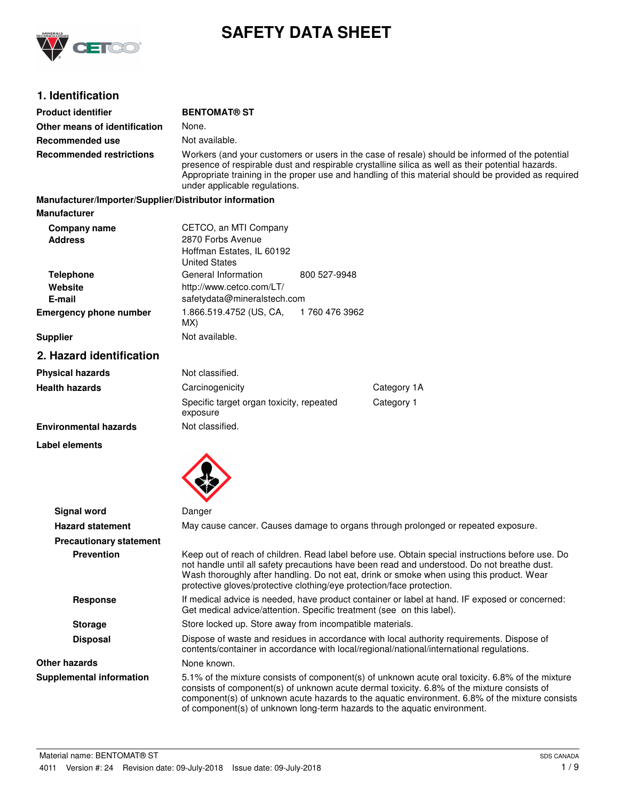

# **SAFETY DATA SHEET**

# **1. Identification**

| <b>Product identifier</b>                              | <b>BENTOMAT® ST</b>                                                                                                                                                                                                                                                                                                                          |               |                                                                                                                                                                                                                                                                                                                                                                              |
|--------------------------------------------------------|----------------------------------------------------------------------------------------------------------------------------------------------------------------------------------------------------------------------------------------------------------------------------------------------------------------------------------------------|---------------|------------------------------------------------------------------------------------------------------------------------------------------------------------------------------------------------------------------------------------------------------------------------------------------------------------------------------------------------------------------------------|
| Other means of identification                          | None.                                                                                                                                                                                                                                                                                                                                        |               |                                                                                                                                                                                                                                                                                                                                                                              |
| Recommended use                                        | Not available.                                                                                                                                                                                                                                                                                                                               |               |                                                                                                                                                                                                                                                                                                                                                                              |
| <b>Recommended restrictions</b>                        | Workers (and your customers or users in the case of resale) should be informed of the potential<br>presence of respirable dust and respirable crystalline silica as well as their potential hazards.<br>Appropriate training in the proper use and handling of this material should be provided as required<br>under applicable regulations. |               |                                                                                                                                                                                                                                                                                                                                                                              |
| Manufacturer/Importer/Supplier/Distributor information |                                                                                                                                                                                                                                                                                                                                              |               |                                                                                                                                                                                                                                                                                                                                                                              |
| <b>Manufacturer</b>                                    |                                                                                                                                                                                                                                                                                                                                              |               |                                                                                                                                                                                                                                                                                                                                                                              |
| Company name<br><b>Address</b>                         | CETCO, an MTI Company<br>2870 Forbs Avenue<br>Hoffman Estates, IL 60192<br><b>United States</b>                                                                                                                                                                                                                                              |               |                                                                                                                                                                                                                                                                                                                                                                              |
| <b>Telephone</b><br>Website<br>E-mail                  | General Information<br>http://www.cetco.com/LT/<br>safetydata@mineralstech.com                                                                                                                                                                                                                                                               | 800 527-9948  |                                                                                                                                                                                                                                                                                                                                                                              |
| <b>Emergency phone number</b>                          | 1.866.519.4752 (US, CA,<br>MX)                                                                                                                                                                                                                                                                                                               | 1760 476 3962 |                                                                                                                                                                                                                                                                                                                                                                              |
| <b>Supplier</b>                                        | Not available.                                                                                                                                                                                                                                                                                                                               |               |                                                                                                                                                                                                                                                                                                                                                                              |
| 2. Hazard identification                               |                                                                                                                                                                                                                                                                                                                                              |               |                                                                                                                                                                                                                                                                                                                                                                              |
| <b>Physical hazards</b>                                | Not classified.                                                                                                                                                                                                                                                                                                                              |               |                                                                                                                                                                                                                                                                                                                                                                              |
| <b>Health hazards</b>                                  | Carcinogenicity                                                                                                                                                                                                                                                                                                                              |               | Category 1A                                                                                                                                                                                                                                                                                                                                                                  |
|                                                        | Specific target organ toxicity, repeated<br>exposure                                                                                                                                                                                                                                                                                         |               | Category 1                                                                                                                                                                                                                                                                                                                                                                   |
| <b>Environmental hazards</b>                           | Not classified.                                                                                                                                                                                                                                                                                                                              |               |                                                                                                                                                                                                                                                                                                                                                                              |
| Label elements                                         |                                                                                                                                                                                                                                                                                                                                              |               |                                                                                                                                                                                                                                                                                                                                                                              |
| <b>Signal word</b>                                     | Danger                                                                                                                                                                                                                                                                                                                                       |               |                                                                                                                                                                                                                                                                                                                                                                              |
| <b>Hazard statement</b>                                |                                                                                                                                                                                                                                                                                                                                              |               | May cause cancer. Causes damage to organs through prolonged or repeated exposure.                                                                                                                                                                                                                                                                                            |
| <b>Precautionary statement</b>                         |                                                                                                                                                                                                                                                                                                                                              |               |                                                                                                                                                                                                                                                                                                                                                                              |
| <b>Prevention</b>                                      | protective gloves/protective clothing/eye protection/face protection.                                                                                                                                                                                                                                                                        |               | Keep out of reach of children. Read label before use. Obtain special instructions before use. Do<br>not handle until all safety precautions have been read and understood. Do not breathe dust.<br>Wash thoroughly after handling. Do not eat, drink or smoke when using this product. Wear                                                                                  |
| <b>Response</b>                                        | If medical advice is needed, have product container or label at hand. IF exposed or concerned:<br>Get medical advice/attention. Specific treatment (see on this label).                                                                                                                                                                      |               |                                                                                                                                                                                                                                                                                                                                                                              |
| <b>Storage</b>                                         | Store locked up. Store away from incompatible materials.                                                                                                                                                                                                                                                                                     |               |                                                                                                                                                                                                                                                                                                                                                                              |
| <b>Disposal</b>                                        | Dispose of waste and residues in accordance with local authority requirements. Dispose of<br>contents/container in accordance with local/regional/national/international regulations.                                                                                                                                                        |               |                                                                                                                                                                                                                                                                                                                                                                              |
| <b>Other hazards</b>                                   | None known.                                                                                                                                                                                                                                                                                                                                  |               |                                                                                                                                                                                                                                                                                                                                                                              |
| <b>Supplemental information</b>                        |                                                                                                                                                                                                                                                                                                                                              |               | 5.1% of the mixture consists of component(s) of unknown acute oral toxicity. 6.8% of the mixture<br>consists of component(s) of unknown acute dermal toxicity. 6.8% of the mixture consists of<br>component(s) of unknown acute hazards to the aquatic environment. 6.8% of the mixture consists<br>of component(s) of unknown long-term hazards to the aquatic environment. |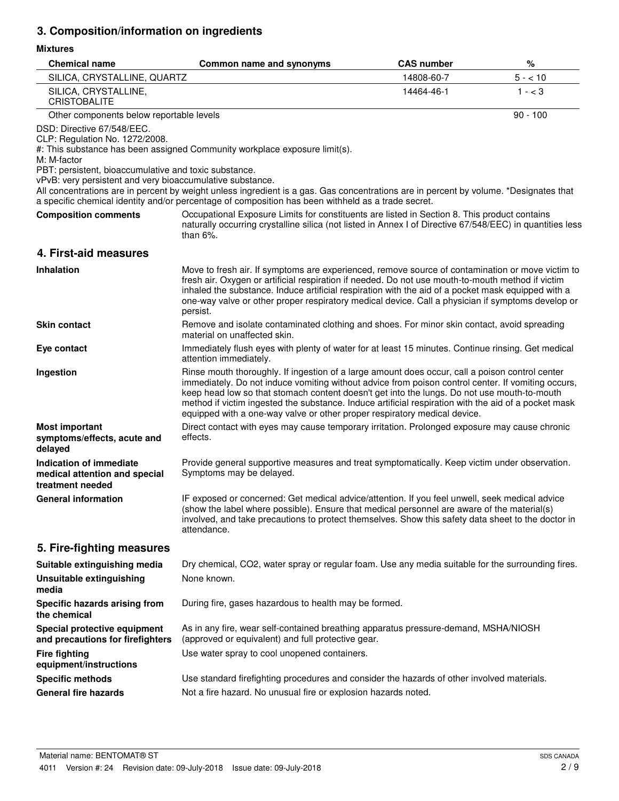# **3. Composition/information on ingredients**

## **Mixtures**

| <b>Chemical name</b>                                                                                                                                                                              | Common name and synonyms                                                                                                                                                                                                                                                                                                                                                                                                                                                                  | <b>CAS number</b> | %          |
|---------------------------------------------------------------------------------------------------------------------------------------------------------------------------------------------------|-------------------------------------------------------------------------------------------------------------------------------------------------------------------------------------------------------------------------------------------------------------------------------------------------------------------------------------------------------------------------------------------------------------------------------------------------------------------------------------------|-------------------|------------|
| SILICA, CRYSTALLINE, QUARTZ                                                                                                                                                                       |                                                                                                                                                                                                                                                                                                                                                                                                                                                                                           | 14808-60-7        | $5 - 10$   |
| SILICA, CRYSTALLINE,<br><b>CRISTOBALITE</b>                                                                                                                                                       |                                                                                                                                                                                                                                                                                                                                                                                                                                                                                           | 14464-46-1        | $1 - < 3$  |
| Other components below reportable levels                                                                                                                                                          |                                                                                                                                                                                                                                                                                                                                                                                                                                                                                           |                   | $90 - 100$ |
| DSD: Directive 67/548/EEC.<br>CLP: Regulation No. 1272/2008.<br>M: M-factor<br>PBT: persistent, bioaccumulative and toxic substance.<br>vPvB: very persistent and very bioaccumulative substance. | #: This substance has been assigned Community workplace exposure limit(s).                                                                                                                                                                                                                                                                                                                                                                                                                |                   |            |
|                                                                                                                                                                                                   | All concentrations are in percent by weight unless ingredient is a gas. Gas concentrations are in percent by volume. *Designates that<br>a specific chemical identity and/or percentage of composition has been withheld as a trade secret.                                                                                                                                                                                                                                               |                   |            |
| <b>Composition comments</b>                                                                                                                                                                       | Occupational Exposure Limits for constituents are listed in Section 8. This product contains<br>naturally occurring crystalline silica (not listed in Annex I of Directive 67/548/EEC) in quantities less<br>than $6\%$ .                                                                                                                                                                                                                                                                 |                   |            |
| 4. First-aid measures                                                                                                                                                                             |                                                                                                                                                                                                                                                                                                                                                                                                                                                                                           |                   |            |
| <b>Inhalation</b>                                                                                                                                                                                 | Move to fresh air. If symptoms are experienced, remove source of contamination or move victim to<br>fresh air. Oxygen or artificial respiration if needed. Do not use mouth-to-mouth method if victim<br>inhaled the substance. Induce artificial respiration with the aid of a pocket mask equipped with a<br>one-way valve or other proper respiratory medical device. Call a physician if symptoms develop or<br>persist.                                                              |                   |            |
| <b>Skin contact</b>                                                                                                                                                                               | Remove and isolate contaminated clothing and shoes. For minor skin contact, avoid spreading<br>material on unaffected skin.                                                                                                                                                                                                                                                                                                                                                               |                   |            |
| Eye contact                                                                                                                                                                                       | Immediately flush eyes with plenty of water for at least 15 minutes. Continue rinsing. Get medical<br>attention immediately.                                                                                                                                                                                                                                                                                                                                                              |                   |            |
| Ingestion                                                                                                                                                                                         | Rinse mouth thoroughly. If ingestion of a large amount does occur, call a poison control center<br>immediately. Do not induce vomiting without advice from poison control center. If vomiting occurs,<br>keep head low so that stomach content doesn't get into the lungs. Do not use mouth-to-mouth<br>method if victim ingested the substance. Induce artificial respiration with the aid of a pocket mask<br>equipped with a one-way valve or other proper respiratory medical device. |                   |            |
| <b>Most important</b><br>symptoms/effects, acute and<br>delayed                                                                                                                                   | Direct contact with eyes may cause temporary irritation. Prolonged exposure may cause chronic<br>effects.                                                                                                                                                                                                                                                                                                                                                                                 |                   |            |
| Indication of immediate<br>medical attention and special<br>treatment needed                                                                                                                      | Provide general supportive measures and treat symptomatically. Keep victim under observation.<br>Symptoms may be delayed.                                                                                                                                                                                                                                                                                                                                                                 |                   |            |
| <b>General information</b>                                                                                                                                                                        | IF exposed or concerned: Get medical advice/attention. If you feel unwell, seek medical advice<br>(show the label where possible). Ensure that medical personnel are aware of the material(s)<br>involved, and take precautions to protect themselves. Show this safety data sheet to the doctor in<br>attendance.                                                                                                                                                                        |                   |            |
| 5. Fire-fighting measures                                                                                                                                                                         |                                                                                                                                                                                                                                                                                                                                                                                                                                                                                           |                   |            |
| Suitable extinguishing media                                                                                                                                                                      | Dry chemical, CO2, water spray or regular foam. Use any media suitable for the surrounding fires.                                                                                                                                                                                                                                                                                                                                                                                         |                   |            |
| <b>Unsuitable extinguishing</b><br>media                                                                                                                                                          | None known.                                                                                                                                                                                                                                                                                                                                                                                                                                                                               |                   |            |
| Specific hazards arising from<br>the chemical                                                                                                                                                     | During fire, gases hazardous to health may be formed.                                                                                                                                                                                                                                                                                                                                                                                                                                     |                   |            |
| Special protective equipment<br>and precautions for firefighters                                                                                                                                  | As in any fire, wear self-contained breathing apparatus pressure-demand, MSHA/NIOSH<br>(approved or equivalent) and full protective gear.                                                                                                                                                                                                                                                                                                                                                 |                   |            |
| <b>Fire fighting</b><br>equipment/instructions                                                                                                                                                    | Use water spray to cool unopened containers.                                                                                                                                                                                                                                                                                                                                                                                                                                              |                   |            |
| <b>Specific methods</b>                                                                                                                                                                           | Use standard firefighting procedures and consider the hazards of other involved materials.                                                                                                                                                                                                                                                                                                                                                                                                |                   |            |
| <b>General fire hazards</b>                                                                                                                                                                       | Not a fire hazard. No unusual fire or explosion hazards noted.                                                                                                                                                                                                                                                                                                                                                                                                                            |                   |            |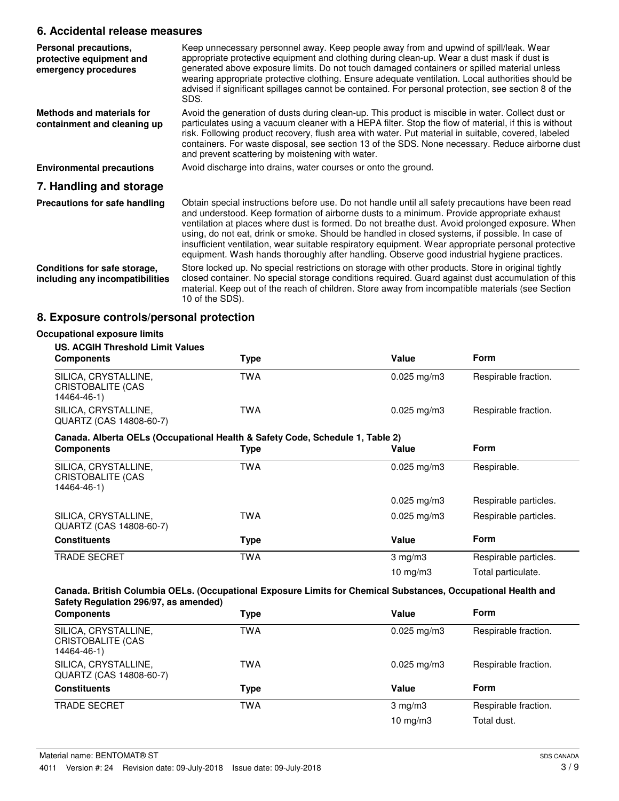## **6. Accidental release measures**

| Personal precautions,<br>protective equipment and<br>emergency procedures | Keep unnecessary personnel away. Keep people away from and upwind of spill/leak. Wear<br>appropriate protective equipment and clothing during clean-up. Wear a dust mask if dust is<br>generated above exposure limits. Do not touch damaged containers or spilled material unless<br>wearing appropriate protective clothing. Ensure adequate ventilation. Local authorities should be<br>advised if significant spillages cannot be contained. For personal protection, see section 8 of the<br>SDS.                                                                                                      |
|---------------------------------------------------------------------------|-------------------------------------------------------------------------------------------------------------------------------------------------------------------------------------------------------------------------------------------------------------------------------------------------------------------------------------------------------------------------------------------------------------------------------------------------------------------------------------------------------------------------------------------------------------------------------------------------------------|
| Methods and materials for<br>containment and cleaning up                  | Avoid the generation of dusts during clean-up. This product is miscible in water. Collect dust or<br>particulates using a vacuum cleaner with a HEPA filter. Stop the flow of material, if this is without<br>risk. Following product recovery, flush area with water. Put material in suitable, covered, labeled<br>containers. For waste disposal, see section 13 of the SDS. None necessary. Reduce airborne dust<br>and prevent scattering by moistening with water.                                                                                                                                    |
| <b>Environmental precautions</b>                                          | Avoid discharge into drains, water courses or onto the ground.                                                                                                                                                                                                                                                                                                                                                                                                                                                                                                                                              |
| 7. Handling and storage                                                   |                                                                                                                                                                                                                                                                                                                                                                                                                                                                                                                                                                                                             |
| Precautions for safe handling                                             | Obtain special instructions before use. Do not handle until all safety precautions have been read<br>and understood. Keep formation of airborne dusts to a minimum. Provide appropriate exhaust<br>ventilation at places where dust is formed. Do not breathe dust. Avoid prolonged exposure. When<br>using, do not eat, drink or smoke. Should be handled in closed systems, if possible. In case of<br>insufficient ventilation, wear suitable respiratory equipment. Wear appropriate personal protective<br>equipment. Wash hands thoroughly after handling. Observe good industrial hygiene practices. |
| Conditions for safe storage,<br>including any incompatibilities           | Store locked up. No special restrictions on storage with other products. Store in original tightly<br>closed container. No special storage conditions required. Guard against dust accumulation of this<br>material. Keep out of the reach of children. Store away from incompatible materials (see Section<br>10 of the SDS).                                                                                                                                                                                                                                                                              |

# **8. Exposure controls/personal protection**

| <b>US. ACGIH Threshold Limit Values</b>                                       |            |                         |                       |
|-------------------------------------------------------------------------------|------------|-------------------------|-----------------------|
| <b>Components</b>                                                             | Type       | Value                   | <b>Form</b>           |
| SILICA, CRYSTALLINE,<br><b>CRISTOBALITE (CAS</b><br>14464-46-1)               | <b>TWA</b> | $0.025$ mg/m3           | Respirable fraction.  |
| SILICA, CRYSTALLINE,<br>QUARTZ (CAS 14808-60-7)                               | <b>TWA</b> | $0.025 \,\mathrm{mg/m}$ | Respirable fraction.  |
| Canada. Alberta OELs (Occupational Health & Safety Code, Schedule 1, Table 2) |            |                         |                       |
| <b>Components</b>                                                             | Type       | Value                   | <b>Form</b>           |
| SILICA, CRYSTALLINE,<br>CRISTOBALITE (CAS<br>14464-46-1)                      | <b>TWA</b> | $0.025$ mg/m3           | Respirable.           |
|                                                                               |            | $0.025$ mg/m3           | Respirable particles. |
| SILICA, CRYSTALLINE,<br>QUARTZ (CAS 14808-60-7)                               | TWA        | $0.025 \,\mathrm{mg/m}$ | Respirable particles. |
| <b>Constituents</b>                                                           | Type       | Value                   | Form                  |
| <b>TRADE SECRET</b>                                                           | <b>TWA</b> | $3 \text{ mg/m}$        | Respirable particles. |
|                                                                               |            | 10 $mg/m3$              | Total particulate.    |

| <b>Components</b>                                               | <b>Type</b> | Value                   | Form                 |
|-----------------------------------------------------------------|-------------|-------------------------|----------------------|
| SILICA, CRYSTALLINE,<br><b>CRISTOBALITE (CAS</b><br>14464-46-1) | TWA         | $0.025$ mg/m3           | Respirable fraction. |
| SILICA, CRYSTALLINE,<br>QUARTZ (CAS 14808-60-7)                 | TWA         | $0.025 \,\mathrm{mg/m}$ | Respirable fraction. |
| <b>Constituents</b>                                             | Type        | Value                   | <b>Form</b>          |
| <b>TRADE SECRET</b>                                             | <b>TWA</b>  | $3$ mg/m $3$            | Respirable fraction. |
|                                                                 |             | 10 mg/m $3$             | Total dust.          |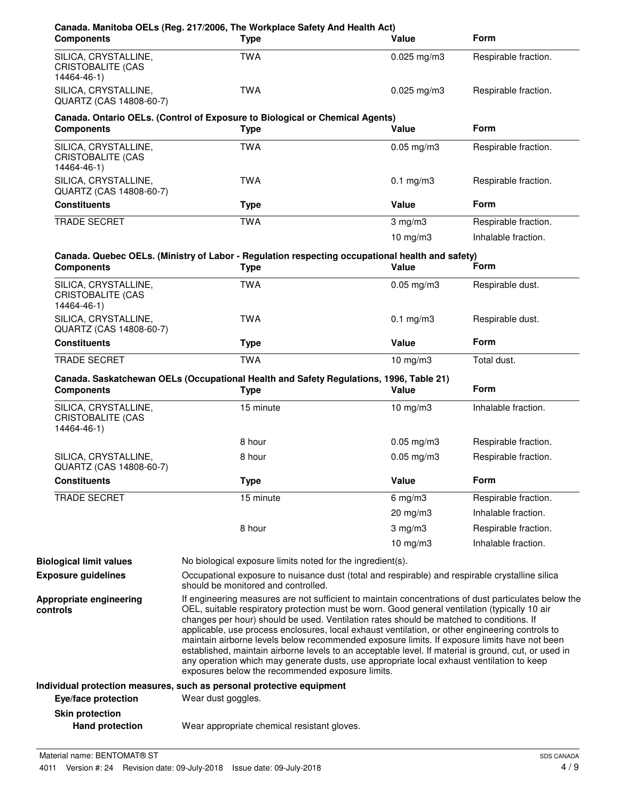| <b>Components</b>                                               | Canada. Manitoba OELs (Reg. 217/2006, The Workplace Safety And Health Act)<br><b>Type</b>                                                                                                                                                                                                                                                                                                                                                                                                                                                                                                                                                                                                                                                                    | Value           | <b>Form</b>          |
|-----------------------------------------------------------------|--------------------------------------------------------------------------------------------------------------------------------------------------------------------------------------------------------------------------------------------------------------------------------------------------------------------------------------------------------------------------------------------------------------------------------------------------------------------------------------------------------------------------------------------------------------------------------------------------------------------------------------------------------------------------------------------------------------------------------------------------------------|-----------------|----------------------|
| SILICA, CRYSTALLINE,<br>CRISTOBALITE (CAS<br>14464-46-1)        | <b>TWA</b>                                                                                                                                                                                                                                                                                                                                                                                                                                                                                                                                                                                                                                                                                                                                                   | $0.025$ mg/m3   | Respirable fraction. |
| SILICA, CRYSTALLINE,<br>QUARTZ (CAS 14808-60-7)                 | <b>TWA</b>                                                                                                                                                                                                                                                                                                                                                                                                                                                                                                                                                                                                                                                                                                                                                   | $0.025$ mg/m3   | Respirable fraction. |
| <b>Components</b>                                               | Canada. Ontario OELs. (Control of Exposure to Biological or Chemical Agents)<br><b>Type</b>                                                                                                                                                                                                                                                                                                                                                                                                                                                                                                                                                                                                                                                                  | Value           | <b>Form</b>          |
| SILICA, CRYSTALLINE,<br><b>CRISTOBALITE (CAS</b><br>14464-46-1) | <b>TWA</b>                                                                                                                                                                                                                                                                                                                                                                                                                                                                                                                                                                                                                                                                                                                                                   | $0.05$ mg/m $3$ | Respirable fraction. |
| SILICA, CRYSTALLINE,<br>QUARTZ (CAS 14808-60-7)                 | <b>TWA</b>                                                                                                                                                                                                                                                                                                                                                                                                                                                                                                                                                                                                                                                                                                                                                   | $0.1$ mg/m $3$  | Respirable fraction. |
| <b>Constituents</b>                                             | <b>Type</b>                                                                                                                                                                                                                                                                                                                                                                                                                                                                                                                                                                                                                                                                                                                                                  | Value           | <b>Form</b>          |
| <b>TRADE SECRET</b>                                             | <b>TWA</b>                                                                                                                                                                                                                                                                                                                                                                                                                                                                                                                                                                                                                                                                                                                                                   | $3$ mg/m $3$    | Respirable fraction. |
|                                                                 |                                                                                                                                                                                                                                                                                                                                                                                                                                                                                                                                                                                                                                                                                                                                                              | $10$ mg/m $3$   | Inhalable fraction.  |
| <b>Components</b>                                               | Canada. Quebec OELs. (Ministry of Labor - Regulation respecting occupational health and safety)<br><b>Type</b>                                                                                                                                                                                                                                                                                                                                                                                                                                                                                                                                                                                                                                               | Value           | Form                 |
| SILICA, CRYSTALLINE,<br><b>CRISTOBALITE (CAS</b><br>14464-46-1) | <b>TWA</b>                                                                                                                                                                                                                                                                                                                                                                                                                                                                                                                                                                                                                                                                                                                                                   | $0.05$ mg/m $3$ | Respirable dust.     |
| SILICA, CRYSTALLINE,<br>QUARTZ (CAS 14808-60-7)                 | <b>TWA</b>                                                                                                                                                                                                                                                                                                                                                                                                                                                                                                                                                                                                                                                                                                                                                   | $0.1$ mg/m $3$  | Respirable dust.     |
| <b>Constituents</b>                                             | <b>Type</b>                                                                                                                                                                                                                                                                                                                                                                                                                                                                                                                                                                                                                                                                                                                                                  | Value           | <b>Form</b>          |
| TRADE SECRET                                                    | <b>TWA</b>                                                                                                                                                                                                                                                                                                                                                                                                                                                                                                                                                                                                                                                                                                                                                   | $10$ mg/m $3$   | Total dust.          |
| <b>Components</b>                                               | Canada. Saskatchewan OELs (Occupational Health and Safety Regulations, 1996, Table 21)<br><b>Type</b>                                                                                                                                                                                                                                                                                                                                                                                                                                                                                                                                                                                                                                                        | Value           | <b>Form</b>          |
| SILICA, CRYSTALLINE,<br><b>CRISTOBALITE (CAS</b><br>14464-46-1) | 15 minute                                                                                                                                                                                                                                                                                                                                                                                                                                                                                                                                                                                                                                                                                                                                                    | $10$ mg/m $3$   | Inhalable fraction.  |
|                                                                 | 8 hour                                                                                                                                                                                                                                                                                                                                                                                                                                                                                                                                                                                                                                                                                                                                                       | $0.05$ mg/m3    | Respirable fraction. |
| SILICA, CRYSTALLINE,<br>QUARTZ (CAS 14808-60-7)                 | 8 hour                                                                                                                                                                                                                                                                                                                                                                                                                                                                                                                                                                                                                                                                                                                                                       | $0.05$ mg/m $3$ | Respirable fraction. |
| <b>Constituents</b>                                             | <b>Type</b>                                                                                                                                                                                                                                                                                                                                                                                                                                                                                                                                                                                                                                                                                                                                                  | Value           | Form                 |
| <b>TRADE SECRET</b>                                             | 15 minute                                                                                                                                                                                                                                                                                                                                                                                                                                                                                                                                                                                                                                                                                                                                                    | $6$ mg/m $3$    | Respirable fraction. |
|                                                                 |                                                                                                                                                                                                                                                                                                                                                                                                                                                                                                                                                                                                                                                                                                                                                              | 20 mg/m3        | Inhalable fraction.  |
|                                                                 | 8 hour                                                                                                                                                                                                                                                                                                                                                                                                                                                                                                                                                                                                                                                                                                                                                       | $3$ mg/m $3$    | Respirable fraction. |
|                                                                 |                                                                                                                                                                                                                                                                                                                                                                                                                                                                                                                                                                                                                                                                                                                                                              | 10 $mg/m3$      | Inhalable fraction.  |
| <b>Biological limit values</b>                                  | No biological exposure limits noted for the ingredient(s).                                                                                                                                                                                                                                                                                                                                                                                                                                                                                                                                                                                                                                                                                                   |                 |                      |
| <b>Exposure guidelines</b>                                      | Occupational exposure to nuisance dust (total and respirable) and respirable crystalline silica<br>should be monitored and controlled.                                                                                                                                                                                                                                                                                                                                                                                                                                                                                                                                                                                                                       |                 |                      |
| Appropriate engineering<br>controls                             | If engineering measures are not sufficient to maintain concentrations of dust particulates below the<br>OEL, suitable respiratory protection must be worn. Good general ventilation (typically 10 air<br>changes per hour) should be used. Ventilation rates should be matched to conditions. If<br>applicable, use process enclosures, local exhaust ventilation, or other engineering controls to<br>maintain airborne levels below recommended exposure limits. If exposure limits have not been<br>established, maintain airborne levels to an acceptable level. If material is ground, cut, or used in<br>any operation which may generate dusts, use appropriate local exhaust ventilation to keep<br>exposures below the recommended exposure limits. |                 |                      |
|                                                                 | Individual protection measures, such as personal protective equipment                                                                                                                                                                                                                                                                                                                                                                                                                                                                                                                                                                                                                                                                                        |                 |                      |
| Eye/face protection                                             | Wear dust goggles.                                                                                                                                                                                                                                                                                                                                                                                                                                                                                                                                                                                                                                                                                                                                           |                 |                      |
| <b>Skin protection</b>                                          |                                                                                                                                                                                                                                                                                                                                                                                                                                                                                                                                                                                                                                                                                                                                                              |                 |                      |
| <b>Hand protection</b>                                          | Wear appropriate chemical resistant gloves.                                                                                                                                                                                                                                                                                                                                                                                                                                                                                                                                                                                                                                                                                                                  |                 |                      |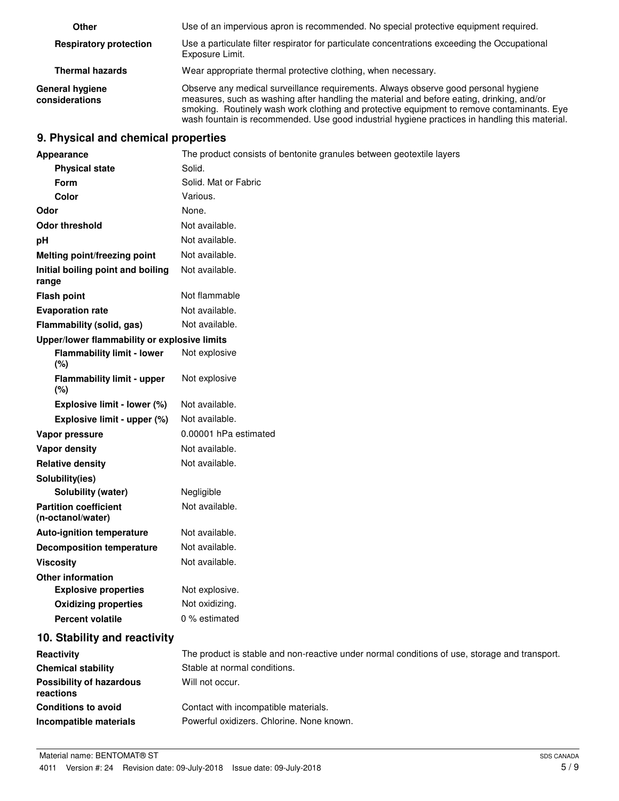| Other                                    | Use of an impervious apron is recommended. No special protective equipment required.                                                                                                                                                                                                                                                                                             |
|------------------------------------------|----------------------------------------------------------------------------------------------------------------------------------------------------------------------------------------------------------------------------------------------------------------------------------------------------------------------------------------------------------------------------------|
| <b>Respiratory protection</b>            | Use a particulate filter respirator for particulate concentrations exceeding the Occupational<br>Exposure Limit.                                                                                                                                                                                                                                                                 |
| <b>Thermal hazards</b>                   | Wear appropriate thermal protective clothing, when necessary.                                                                                                                                                                                                                                                                                                                    |
| <b>General hygiene</b><br>considerations | Observe any medical surveillance requirements. Always observe good personal hygiene<br>measures, such as washing after handling the material and before eating, drinking, and/or<br>smoking. Routinely wash work clothing and protective equipment to remove contaminants. Eye<br>wash fountain is recommended. Use good industrial hygiene practices in handling this material. |

# **9. Physical and chemical properties**

| Appearance                                        | The product consists of bentonite granules between geotextile layers                          |
|---------------------------------------------------|-----------------------------------------------------------------------------------------------|
| <b>Physical state</b>                             | Solid.                                                                                        |
| Form                                              | Solid. Mat or Fabric                                                                          |
| Color                                             | Various.                                                                                      |
| Odor                                              | None.                                                                                         |
| <b>Odor threshold</b>                             | Not available.                                                                                |
| pH                                                | Not available.                                                                                |
| Melting point/freezing point                      | Not available.                                                                                |
| Initial boiling point and boiling<br>range        | Not available.                                                                                |
| <b>Flash point</b>                                | Not flammable                                                                                 |
| <b>Evaporation rate</b>                           | Not available.                                                                                |
| Flammability (solid, gas)                         | Not available.                                                                                |
| Upper/lower flammability or explosive limits      |                                                                                               |
| <b>Flammability limit - lower</b><br>(%)          | Not explosive                                                                                 |
| <b>Flammability limit - upper</b><br>(%)          | Not explosive                                                                                 |
| Explosive limit - lower (%)                       | Not available.                                                                                |
| Explosive limit - upper (%)                       | Not available.                                                                                |
| Vapor pressure                                    | 0.00001 hPa estimated                                                                         |
| Vapor density                                     | Not available.                                                                                |
| <b>Relative density</b>                           | Not available.                                                                                |
| Solubility(ies)                                   |                                                                                               |
| Solubility (water)                                | Negligible                                                                                    |
| <b>Partition coefficient</b><br>(n-octanol/water) | Not available.                                                                                |
| <b>Auto-ignition temperature</b>                  | Not available.                                                                                |
| <b>Decomposition temperature</b>                  | Not available.                                                                                |
| <b>Viscosity</b>                                  | Not available.                                                                                |
| <b>Other information</b>                          |                                                                                               |
| <b>Explosive properties</b>                       | Not explosive.                                                                                |
| <b>Oxidizing properties</b>                       | Not oxidizing.                                                                                |
| <b>Percent volatile</b>                           | 0 % estimated                                                                                 |
| 10. Stability and reactivity                      |                                                                                               |
| Reactivity                                        | The product is stable and non-reactive under normal conditions of use, storage and transport. |
| <b>Chemical stability</b>                         | Stable at normal conditions.                                                                  |
| <b>Possibility of hazardous</b><br>reactions      | Will not occur.                                                                               |
| <b>Conditions to avoid</b>                        | Contact with incompatible materials.                                                          |
| Incompatible materials                            | Powerful oxidizers. Chlorine. None known.                                                     |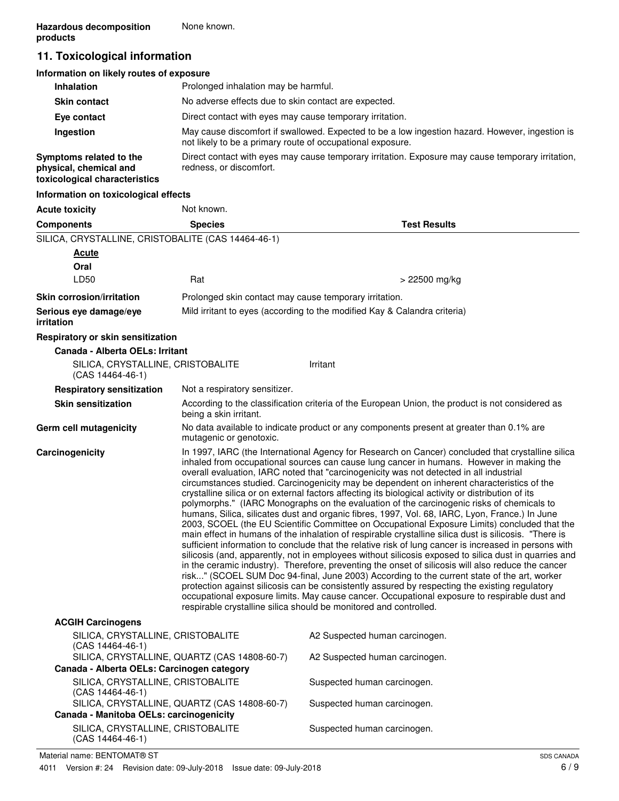# **11. Toxicological information**

| Information on likely routes of exposure                                           |                                                                                                                                                               |
|------------------------------------------------------------------------------------|---------------------------------------------------------------------------------------------------------------------------------------------------------------|
| <b>Inhalation</b>                                                                  | Prolonged inhalation may be harmful.                                                                                                                          |
| <b>Skin contact</b>                                                                | No adverse effects due to skin contact are expected.                                                                                                          |
| Eye contact                                                                        | Direct contact with eyes may cause temporary irritation.                                                                                                      |
| Ingestion                                                                          | May cause discomfort if swallowed. Expected to be a low ingestion hazard. However, ingestion is<br>not likely to be a primary route of occupational exposure. |
| Symptoms related to the<br>physical, chemical and<br>toxicological characteristics | Direct contact with eyes may cause temporary irritation. Exposure may cause temporary irritation,<br>redness, or discomfort.                                  |
| Information on toxicological effects                                               |                                                                                                                                                               |

| <b>Acute toxicity</b>                                   | Not known.                                                                                                                                                                                                                                                                                                                                                                                                                                                                                                                                                                                                                                                                                                                                                                                                                                                                                                                                                                                                                                                                                                                                                                                                                                                                                                                                                                                                                                                                                                                                                                                         |                                                                                                  |
|---------------------------------------------------------|----------------------------------------------------------------------------------------------------------------------------------------------------------------------------------------------------------------------------------------------------------------------------------------------------------------------------------------------------------------------------------------------------------------------------------------------------------------------------------------------------------------------------------------------------------------------------------------------------------------------------------------------------------------------------------------------------------------------------------------------------------------------------------------------------------------------------------------------------------------------------------------------------------------------------------------------------------------------------------------------------------------------------------------------------------------------------------------------------------------------------------------------------------------------------------------------------------------------------------------------------------------------------------------------------------------------------------------------------------------------------------------------------------------------------------------------------------------------------------------------------------------------------------------------------------------------------------------------------|--------------------------------------------------------------------------------------------------|
| <b>Components</b>                                       | <b>Species</b>                                                                                                                                                                                                                                                                                                                                                                                                                                                                                                                                                                                                                                                                                                                                                                                                                                                                                                                                                                                                                                                                                                                                                                                                                                                                                                                                                                                                                                                                                                                                                                                     | <b>Test Results</b>                                                                              |
| SILICA, CRYSTALLINE, CRISTOBALITE (CAS 14464-46-1)      |                                                                                                                                                                                                                                                                                                                                                                                                                                                                                                                                                                                                                                                                                                                                                                                                                                                                                                                                                                                                                                                                                                                                                                                                                                                                                                                                                                                                                                                                                                                                                                                                    |                                                                                                  |
| Acute                                                   |                                                                                                                                                                                                                                                                                                                                                                                                                                                                                                                                                                                                                                                                                                                                                                                                                                                                                                                                                                                                                                                                                                                                                                                                                                                                                                                                                                                                                                                                                                                                                                                                    |                                                                                                  |
| Oral                                                    |                                                                                                                                                                                                                                                                                                                                                                                                                                                                                                                                                                                                                                                                                                                                                                                                                                                                                                                                                                                                                                                                                                                                                                                                                                                                                                                                                                                                                                                                                                                                                                                                    |                                                                                                  |
| LD50                                                    | Rat                                                                                                                                                                                                                                                                                                                                                                                                                                                                                                                                                                                                                                                                                                                                                                                                                                                                                                                                                                                                                                                                                                                                                                                                                                                                                                                                                                                                                                                                                                                                                                                                | > 22500 mg/kg                                                                                    |
| <b>Skin corrosion/irritation</b>                        | Prolonged skin contact may cause temporary irritation.                                                                                                                                                                                                                                                                                                                                                                                                                                                                                                                                                                                                                                                                                                                                                                                                                                                                                                                                                                                                                                                                                                                                                                                                                                                                                                                                                                                                                                                                                                                                             |                                                                                                  |
| Serious eye damage/eye<br><i>irritation</i>             |                                                                                                                                                                                                                                                                                                                                                                                                                                                                                                                                                                                                                                                                                                                                                                                                                                                                                                                                                                                                                                                                                                                                                                                                                                                                                                                                                                                                                                                                                                                                                                                                    | Mild irritant to eyes (according to the modified Kay & Calandra criteria)                        |
| Respiratory or skin sensitization                       |                                                                                                                                                                                                                                                                                                                                                                                                                                                                                                                                                                                                                                                                                                                                                                                                                                                                                                                                                                                                                                                                                                                                                                                                                                                                                                                                                                                                                                                                                                                                                                                                    |                                                                                                  |
| Canada - Alberta OELs: Irritant                         |                                                                                                                                                                                                                                                                                                                                                                                                                                                                                                                                                                                                                                                                                                                                                                                                                                                                                                                                                                                                                                                                                                                                                                                                                                                                                                                                                                                                                                                                                                                                                                                                    |                                                                                                  |
| SILICA, CRYSTALLINE, CRISTOBALITE<br>$(CAS 14464-46-1)$ |                                                                                                                                                                                                                                                                                                                                                                                                                                                                                                                                                                                                                                                                                                                                                                                                                                                                                                                                                                                                                                                                                                                                                                                                                                                                                                                                                                                                                                                                                                                                                                                                    | Irritant                                                                                         |
| <b>Respiratory sensitization</b>                        | Not a respiratory sensitizer.                                                                                                                                                                                                                                                                                                                                                                                                                                                                                                                                                                                                                                                                                                                                                                                                                                                                                                                                                                                                                                                                                                                                                                                                                                                                                                                                                                                                                                                                                                                                                                      |                                                                                                  |
| <b>Skin sensitization</b>                               | being a skin irritant.                                                                                                                                                                                                                                                                                                                                                                                                                                                                                                                                                                                                                                                                                                                                                                                                                                                                                                                                                                                                                                                                                                                                                                                                                                                                                                                                                                                                                                                                                                                                                                             | According to the classification criteria of the European Union, the product is not considered as |
| Germ cell mutagenicity                                  | mutagenic or genotoxic.                                                                                                                                                                                                                                                                                                                                                                                                                                                                                                                                                                                                                                                                                                                                                                                                                                                                                                                                                                                                                                                                                                                                                                                                                                                                                                                                                                                                                                                                                                                                                                            | No data available to indicate product or any components present at greater than 0.1% are         |
| Carcinogenicity                                         | In 1997, IARC (the International Agency for Research on Cancer) concluded that crystalline silica<br>inhaled from occupational sources can cause lung cancer in humans. However in making the<br>overall evaluation, IARC noted that "carcinogenicity was not detected in all industrial<br>circumstances studied. Carcinogenicity may be dependent on inherent characteristics of the<br>crystalline silica or on external factors affecting its biological activity or distribution of its<br>polymorphs." (IARC Monographs on the evaluation of the carcinogenic risks of chemicals to<br>humans, Silica, silicates dust and organic fibres, 1997, Vol. 68, IARC, Lyon, France.) In June<br>2003, SCOEL (the EU Scientific Committee on Occupational Exposure Limits) concluded that the<br>main effect in humans of the inhalation of respirable crystalline silica dust is silicosis. "There is<br>sufficient information to conclude that the relative risk of lung cancer is increased in persons with<br>silicosis (and, apparently, not in employees without silicosis exposed to silica dust in quarries and<br>in the ceramic industry). Therefore, preventing the onset of silicosis will also reduce the cancer<br>risk" (SCOEL SUM Doc 94-final, June 2003) According to the current state of the art, worker<br>protection against silicosis can be consistently assured by respecting the existing regulatory<br>occupational exposure limits. May cause cancer. Occupational exposure to respirable dust and<br>respirable crystalline silica should be monitored and controlled. |                                                                                                  |
| <b>ACGIH Carcinogens</b>                                |                                                                                                                                                                                                                                                                                                                                                                                                                                                                                                                                                                                                                                                                                                                                                                                                                                                                                                                                                                                                                                                                                                                                                                                                                                                                                                                                                                                                                                                                                                                                                                                                    |                                                                                                  |
| SILICA, CRYSTALLINE, CRISTOBALITE<br>(CAS 14464-46-1)   |                                                                                                                                                                                                                                                                                                                                                                                                                                                                                                                                                                                                                                                                                                                                                                                                                                                                                                                                                                                                                                                                                                                                                                                                                                                                                                                                                                                                                                                                                                                                                                                                    | A2 Suspected human carcinogen.                                                                   |
| Canada - Alberta OELs: Carcinogen category              | SILICA, CRYSTALLINE, QUARTZ (CAS 14808-60-7)                                                                                                                                                                                                                                                                                                                                                                                                                                                                                                                                                                                                                                                                                                                                                                                                                                                                                                                                                                                                                                                                                                                                                                                                                                                                                                                                                                                                                                                                                                                                                       | A2 Suspected human carcinogen.                                                                   |
| SILICA, CRYSTALLINE, CRISTOBALITE                       |                                                                                                                                                                                                                                                                                                                                                                                                                                                                                                                                                                                                                                                                                                                                                                                                                                                                                                                                                                                                                                                                                                                                                                                                                                                                                                                                                                                                                                                                                                                                                                                                    | Suspected human carcinogen.                                                                      |
| $(CAS 14464-46-1)$                                      | SILICA, CRYSTALLINE, QUARTZ (CAS 14808-60-7)                                                                                                                                                                                                                                                                                                                                                                                                                                                                                                                                                                                                                                                                                                                                                                                                                                                                                                                                                                                                                                                                                                                                                                                                                                                                                                                                                                                                                                                                                                                                                       | Suspected human carcinogen.                                                                      |
| Canada - Manitoba OELs: carcinogenicity                 |                                                                                                                                                                                                                                                                                                                                                                                                                                                                                                                                                                                                                                                                                                                                                                                                                                                                                                                                                                                                                                                                                                                                                                                                                                                                                                                                                                                                                                                                                                                                                                                                    |                                                                                                  |
| SILICA, CRYSTALLINE, CRISTOBALITE                       |                                                                                                                                                                                                                                                                                                                                                                                                                                                                                                                                                                                                                                                                                                                                                                                                                                                                                                                                                                                                                                                                                                                                                                                                                                                                                                                                                                                                                                                                                                                                                                                                    | Suspected human carcinogen.                                                                      |

(CAS 14464-46-1)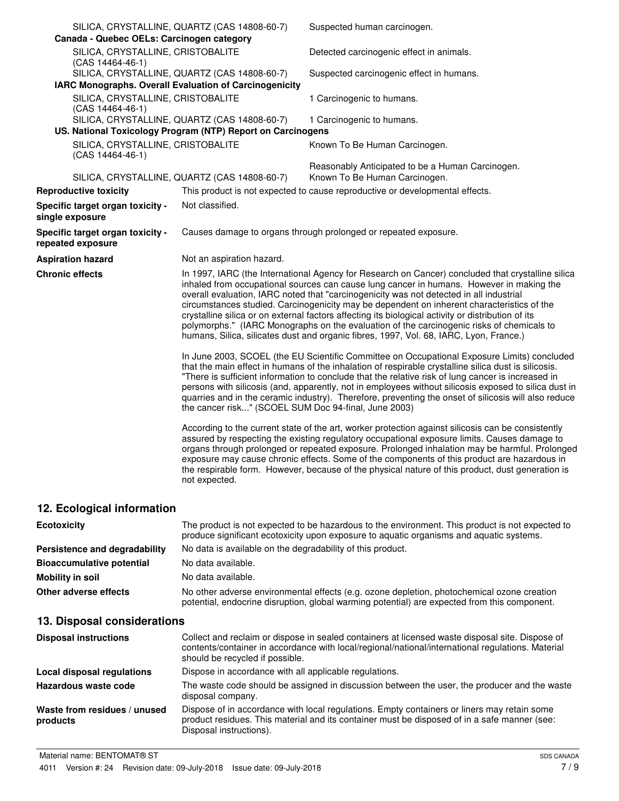| Canada - Quebec OELs: Carcinogen category              | SILICA, CRYSTALLINE, QUARTZ (CAS 14808-60-7)                                                                | Suspected human carcinogen.                                                                                                                                                                                                                                                                                                                                                                                                                                                                                                                                                                                                                                                         |
|--------------------------------------------------------|-------------------------------------------------------------------------------------------------------------|-------------------------------------------------------------------------------------------------------------------------------------------------------------------------------------------------------------------------------------------------------------------------------------------------------------------------------------------------------------------------------------------------------------------------------------------------------------------------------------------------------------------------------------------------------------------------------------------------------------------------------------------------------------------------------------|
| SILICA, CRYSTALLINE, CRISTOBALITE<br>(CAS 14464-46-1)  |                                                                                                             | Detected carcinogenic effect in animals.                                                                                                                                                                                                                                                                                                                                                                                                                                                                                                                                                                                                                                            |
| IARC Monographs. Overall Evaluation of Carcinogenicity | SILICA, CRYSTALLINE, QUARTZ (CAS 14808-60-7)                                                                | Suspected carcinogenic effect in humans.                                                                                                                                                                                                                                                                                                                                                                                                                                                                                                                                                                                                                                            |
| SILICA, CRYSTALLINE, CRISTOBALITE<br>(CAS 14464-46-1)  |                                                                                                             | 1 Carcinogenic to humans.                                                                                                                                                                                                                                                                                                                                                                                                                                                                                                                                                                                                                                                           |
|                                                        | SILICA, CRYSTALLINE, QUARTZ (CAS 14808-60-7)<br>US. National Toxicology Program (NTP) Report on Carcinogens | 1 Carcinogenic to humans.                                                                                                                                                                                                                                                                                                                                                                                                                                                                                                                                                                                                                                                           |
| SILICA, CRYSTALLINE, CRISTOBALITE<br>(CAS 14464-46-1)  |                                                                                                             | Known To Be Human Carcinogen.                                                                                                                                                                                                                                                                                                                                                                                                                                                                                                                                                                                                                                                       |
|                                                        | SILICA, CRYSTALLINE, QUARTZ (CAS 14808-60-7)                                                                | Reasonably Anticipated to be a Human Carcinogen.<br>Known To Be Human Carcinogen.                                                                                                                                                                                                                                                                                                                                                                                                                                                                                                                                                                                                   |
| <b>Reproductive toxicity</b>                           |                                                                                                             | This product is not expected to cause reproductive or developmental effects.                                                                                                                                                                                                                                                                                                                                                                                                                                                                                                                                                                                                        |
| Specific target organ toxicity -<br>single exposure    | Not classified.                                                                                             |                                                                                                                                                                                                                                                                                                                                                                                                                                                                                                                                                                                                                                                                                     |
| Specific target organ toxicity -<br>repeated exposure  |                                                                                                             | Causes damage to organs through prolonged or repeated exposure.                                                                                                                                                                                                                                                                                                                                                                                                                                                                                                                                                                                                                     |
| <b>Aspiration hazard</b>                               | Not an aspiration hazard.                                                                                   |                                                                                                                                                                                                                                                                                                                                                                                                                                                                                                                                                                                                                                                                                     |
| <b>Chronic effects</b>                                 |                                                                                                             | In 1997, IARC (the International Agency for Research on Cancer) concluded that crystalline silica<br>inhaled from occupational sources can cause lung cancer in humans. However in making the<br>overall evaluation, IARC noted that "carcinogenicity was not detected in all industrial<br>circumstances studied. Carcinogenicity may be dependent on inherent characteristics of the<br>crystalline silica or on external factors affecting its biological activity or distribution of its<br>polymorphs." (IARC Monographs on the evaluation of the carcinogenic risks of chemicals to<br>humans, Silica, silicates dust and organic fibres, 1997, Vol. 68, IARC, Lyon, France.) |
|                                                        | the cancer risk" (SCOEL SUM Doc 94-final, June 2003)                                                        | In June 2003, SCOEL (the EU Scientific Committee on Occupational Exposure Limits) concluded<br>that the main effect in humans of the inhalation of respirable crystalline silica dust is silicosis.<br>"There is sufficient information to conclude that the relative risk of lung cancer is increased in<br>persons with silicosis (and, apparently, not in employees without silicosis exposed to silica dust in<br>quarries and in the ceramic industry). Therefore, preventing the onset of silicosis will also reduce                                                                                                                                                          |
|                                                        | not expected.                                                                                               | According to the current state of the art, worker protection against silicosis can be consistently<br>assured by respecting the existing regulatory occupational exposure limits. Causes damage to<br>organs through prolonged or repeated exposure. Prolonged inhalation may be harmful. Prolonged<br>exposure may cause chronic effects. Some of the components of this product are hazardous in<br>the respirable form. However, because of the physical nature of this product, dust generation is                                                                                                                                                                              |
| 12. Ecological information                             |                                                                                                             |                                                                                                                                                                                                                                                                                                                                                                                                                                                                                                                                                                                                                                                                                     |

| <b>Ecotoxicity</b>               | The product is not expected to be hazardous to the environment. This product is not expected to<br>produce significant ecotoxicity upon exposure to aquatic organisms and aquatic systems. |
|----------------------------------|--------------------------------------------------------------------------------------------------------------------------------------------------------------------------------------------|
| Persistence and degradability    | No data is available on the degradability of this product.                                                                                                                                 |
| <b>Bioaccumulative potential</b> | No data available.                                                                                                                                                                         |
| Mobility in soil                 | No data available.                                                                                                                                                                         |
| Other adverse effects            | No other adverse environmental effects (e.g. ozone depletion, photochemical ozone creation<br>potential, endocrine disruption, global warming potential) are expected from this component. |

# **13. Disposal considerations**

| <b>Disposal instructions</b>             | Collect and reclaim or dispose in sealed containers at licensed waste disposal site. Dispose of<br>contents/container in accordance with local/regional/national/international regulations. Material<br>should be recycled if possible. |
|------------------------------------------|-----------------------------------------------------------------------------------------------------------------------------------------------------------------------------------------------------------------------------------------|
| Local disposal regulations               | Dispose in accordance with all applicable regulations.                                                                                                                                                                                  |
| Hazardous waste code                     | The waste code should be assigned in discussion between the user, the producer and the waste<br>disposal company.                                                                                                                       |
| Waste from residues / unused<br>products | Dispose of in accordance with local regulations. Empty containers or liners may retain some<br>product residues. This material and its container must be disposed of in a safe manner (see:<br>Disposal instructions).                  |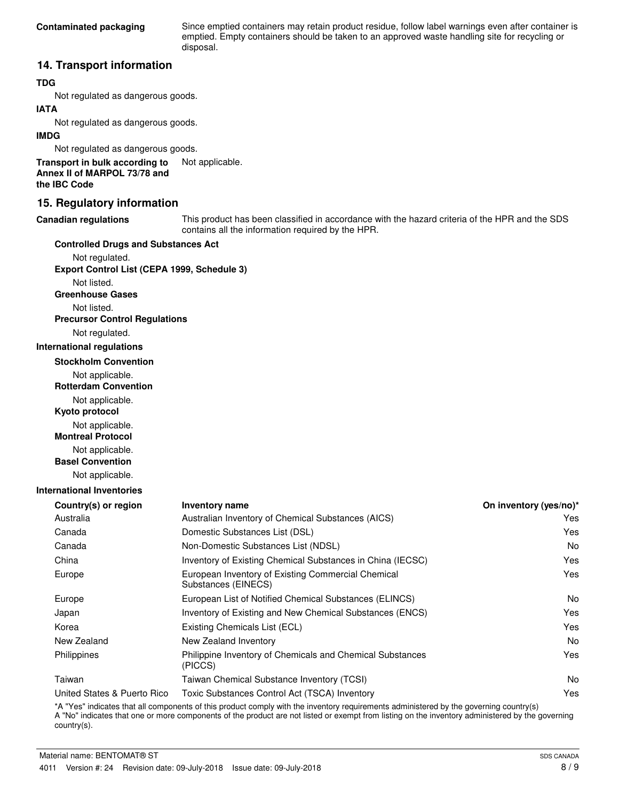Since emptied containers may retain product residue, follow label warnings even after container is emptied. Empty containers should be taken to an approved waste handling site for recycling or disposal.

## **14. Transport information**

## **TDG**

Not regulated as dangerous goods.

## **IATA**

Not regulated as dangerous goods.

### **IMDG**

Not regulated as dangerous goods.

**Transport in bulk according to** Not applicable. **Annex II of MARPOL 73/78 and the IBC Code**

## **15. Regulatory information**

#### **Canadian regulations**

This product has been classified in accordance with the hazard criteria of the HPR and the SDS contains all the information required by the HPR.

#### **Controlled Drugs and Substances Act**

Not regulated. **Export Control List (CEPA 1999, Schedule 3)**

Not listed.

**Greenhouse Gases**

Not listed.

**Precursor Control Regulations**

Not regulated.

#### **International regulations**

**Stockholm Convention**

Not applicable.

**Rotterdam Convention**

Not applicable.

**Kyoto protocol**

Not applicable.

**Montreal Protocol**

Not applicable.

**Basel Convention**

Not applicable.

### **International Inventories**

| <b>Inventory name</b>                                                     | On inventory (yes/no)* |
|---------------------------------------------------------------------------|------------------------|
| Australian Inventory of Chemical Substances (AICS)                        | Yes                    |
| Domestic Substances List (DSL)                                            | Yes                    |
| Non-Domestic Substances List (NDSL)                                       | No.                    |
| Inventory of Existing Chemical Substances in China (IECSC)                | Yes                    |
| European Inventory of Existing Commercial Chemical<br>Substances (EINECS) | Yes                    |
| European List of Notified Chemical Substances (ELINCS)                    | N <sub>o</sub>         |
| Inventory of Existing and New Chemical Substances (ENCS)                  | Yes                    |
| Existing Chemicals List (ECL)                                             | Yes                    |
| New Zealand Inventory                                                     | No.                    |
| Philippine Inventory of Chemicals and Chemical Substances<br>(PICCS)      | Yes                    |
| Taiwan Chemical Substance Inventory (TCSI)                                | No.                    |
| Toxic Substances Control Act (TSCA) Inventory                             | Yes                    |
|                                                                           |                        |

\*A "Yes" indicates that all components of this product comply with the inventory requirements administered by the governing country(s) A "No" indicates that one or more components of the product are not listed or exempt from listing on the inventory administered by the governing country(s).